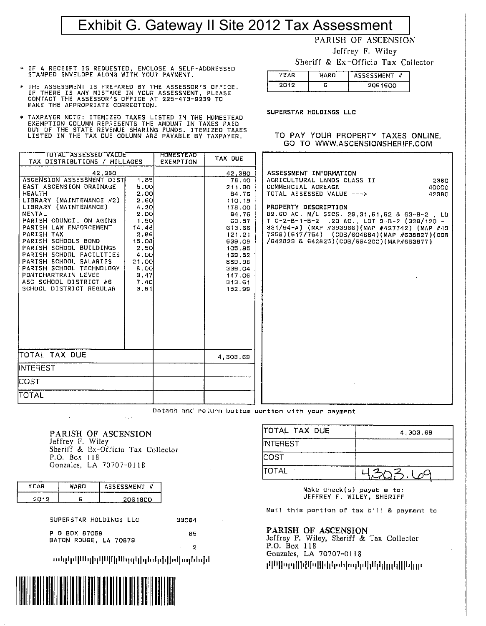## Exhibit G. Gateway II Site 2012 Tax Assessment

**YEAR** 

 $2012$ 

PARISH OF ASCENSION

Jeffrey F. Wiley

Sheriff & Ex-Officio Tax Collector

TO PAY YOUR PROPERTY TAXES ONLINE. GO TO WWW.ASCENSIONSHERIFF.COM

ASSESSMENT #

2061600

**WARD** 

ਨ

SUPERSTAR HOLDINGS LLC

- \* IF A RECEIPT IS REQUESTED, ENCLOSE A SELF-ADDRESSED<br>STAMPED ENVELOPE ALONG WITH YOUR PAYMENT.
- \* THE ASSESSMENT IS PREPARED BY THE ASSESSOR'S OFFICE.<br>IF THERE IS ANY MISTAKE IN YOUR ASSESSMENT, PLEASE<br>CONTACT THE ASSESSOR'S OFFICE AT 225-473-9239 TO MAKE THE APPROPRIATE CORRECTION.
- TAXPAYER NOTE: ITEMIZED TAXES LISTED IN THE HOMESTEAD EXEMPTION COLUMN REPRESENTS THE AMDUNT IN TAXES PAID<br>OUT OF THE STATE REVENUE SHARING FUNDS. ITEMIZED TAXES<br>LISTED IN THE TAX DUE COLUMN ARE PAYABLE BY TAXPAYER.

| TOTAL ASSESSED VALUE<br>TAX DISTRIBUTIONS / MILLAGES                                                                                                                                                                                                                                                                                                                                                                               |                                                                                                                                             | <b>HOMESTEAD</b><br>EXEMPTION | TAX DUE                                                                                                                                                                             |                                                                                                                                                                                                                                                                                                                                                                                                           |
|------------------------------------------------------------------------------------------------------------------------------------------------------------------------------------------------------------------------------------------------------------------------------------------------------------------------------------------------------------------------------------------------------------------------------------|---------------------------------------------------------------------------------------------------------------------------------------------|-------------------------------|-------------------------------------------------------------------------------------------------------------------------------------------------------------------------------------|-----------------------------------------------------------------------------------------------------------------------------------------------------------------------------------------------------------------------------------------------------------------------------------------------------------------------------------------------------------------------------------------------------------|
| 42.380<br>ASCENSION ASSESSMENT DISTI<br>EAST ASCENSION DRAINAGE<br><b>HEALTH</b><br>LIBRARY (MAINTENANCE #2)<br>LIBRARY (MAINTENANCE)<br>MENTAL<br>PARISH COUNCIL ON AGING<br>PARISH LAW ENFORCEMENT<br>PARISH TAX<br>PARISH SCHOOLS BOND<br>PARISH SCHOOL BUILDINGS<br>PARISH SCHOOL FACILITIES<br>PARISH SCHOOL SALARIES<br>PARISH SCHOOL TECHNOLOGY<br>PONTCHARTRAIN LEVEE<br>ASC SCHOOL DISTRICT #6<br>SCHOOL DISTRICT REGULAR | 1.85<br>5.OO<br>2.OOI<br>2.60<br>4.20<br>2.00<br>1.50<br>14.48<br>2.86<br>15.08<br>2.50l<br>4.OOI<br>21.00<br>8.OO<br>3.47<br>7.40ľ<br>3.61 |                               | 42,380<br>78.40<br>211.90<br>84.76<br>110.19<br>178.00<br>54.76<br>63.57<br>613.66<br>121.21<br>639.09<br>105.95<br>169.52<br>889.98<br><b>939.04</b><br>147.06<br>313.61<br>152.99 | ASSESSMENT INFORMATION<br>AGRICULTURAL LANDS CLASS II<br>2380<br>COMMERCIAL ACREAGE<br>40000<br>TOTAL ASSESSED VALUE ---><br>42380<br>PROPERTY DESCRIPTION<br>82.60 AC. M/L SECS. 29,31,61,62 & 63-9-2, LD<br>$T$ C-2-B-1-B-2 .23 AC., LDT 3-B-2 (328/120 -<br>331/94-А) (МАР #393966)(МАР #427742) (МАР #43<br>7358)(617/754) (CDB/604884)(MAP #638827)(COB<br>/642823 & 642825)(COB/664200)(MAP#663877) |
| TOTAL TAX DUE                                                                                                                                                                                                                                                                                                                                                                                                                      |                                                                                                                                             |                               | 4,303,69                                                                                                                                                                            |                                                                                                                                                                                                                                                                                                                                                                                                           |
| INTEREST                                                                                                                                                                                                                                                                                                                                                                                                                           |                                                                                                                                             |                               |                                                                                                                                                                                     |                                                                                                                                                                                                                                                                                                                                                                                                           |
| <b>COST</b>                                                                                                                                                                                                                                                                                                                                                                                                                        |                                                                                                                                             |                               |                                                                                                                                                                                     |                                                                                                                                                                                                                                                                                                                                                                                                           |
| <b>TOTAL</b>                                                                                                                                                                                                                                                                                                                                                                                                                       |                                                                                                                                             |                               |                                                                                                                                                                                     |                                                                                                                                                                                                                                                                                                                                                                                                           |

Detach and return bottom portion with your payment

PARISH OF ASCENSION Jeffrey F. Wiley Sheriff & Ex-Officin Tax Collector P.O. Box 118 Gonzales, LA 70707-0118

 $\omega = \omega_{\rm{eff}}/2$ 

| ---- | H<br>. MENT.         |
|------|----------------------|
|      | nn<br>n<br>-<br>---- |

SUPERSTAR HOLDINGS LLC

33084

P 0 BDX 87059 BATON ROUGE, LA 70879

2

85

նակիվ[Մելիլ||ՄիլՄերբիլելեզիլ|սվայնեզի



**COST** TOTAL 니 Make check(s) payable to:

JEFFREY F. WILEY, SHERIFF

4.303.69

 $\varrho^{\textstyle C}$ 

Mail this portion of tax bill & payment to:

#### PARISH OF ASCENSION

ITOTAL TAX DUE

**INTEREST** 

Jeffrey F. Wiley, Sheriff & Tax Collector P.O. Box 118 Gonzales, LA 70707-0118 րկԱվիզոլ[]իվկիզ]|իկիզեիոգկոկ]|կկկ<sub>||կ</sub>լկ|||կկ<sub>||</sub>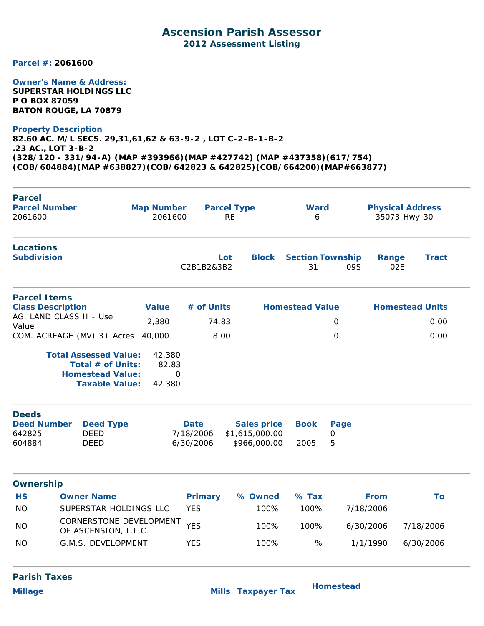### **Ascension Parish Assessor 2012 Assessment Listing**

**Parcel #: 2061600**

#### **Owner's Name & Address:**

**SUPERSTAR HOLDINGS LLC P O BOX 87059 BATON ROUGE, LA 70879**

#### **Property Description**

**82.60 AC. M/L SECS. 29,31,61,62 & 63-9-2 , LOT C-2-B-1-B-2 .23 AC., LOT 3-B-2 (328/120 - 331/94-A) (MAP #393966)(MAP #427742) (MAP #437358)(617/754) (COB/604884)(MAP #638827)(COB/642823 & 642825)(COB/664200)(MAP#663877)**

| <b>Parcel</b><br><b>Parcel Number</b><br>2061600                                                                                  | <b>Map Number</b><br>2061600 |                                       | <b>Parcel Type</b><br><b>RE</b>                      | <b>Ward</b><br>6              |                          |              | <b>Physical Address</b><br>35073 Hwy 30 |
|-----------------------------------------------------------------------------------------------------------------------------------|------------------------------|---------------------------------------|------------------------------------------------------|-------------------------------|--------------------------|--------------|-----------------------------------------|
| <b>Locations</b><br><b>Subdivision</b>                                                                                            |                              | C2B1B2&3B2                            | <b>Block</b><br>Lot                                  | <b>Section Township</b><br>31 | 09S                      | Range<br>02E | <b>Tract</b>                            |
| <b>Parcel Items</b>                                                                                                               |                              | # of Units                            |                                                      |                               |                          |              |                                         |
| <b>Class Description</b><br>AG. LAND CLASS II - Use                                                                               | <b>Value</b>                 |                                       |                                                      | <b>Homestead Value</b>        |                          |              | <b>Homestead Units</b>                  |
| Value                                                                                                                             | 2,380                        | 74.83                                 |                                                      |                               | 0                        |              | 0.00                                    |
| COM. ACREAGE (MV) 3+ Acres                                                                                                        | 40,000                       | 8.00                                  |                                                      |                               | 0                        |              | 0.00                                    |
| <b>Taxable Value:</b><br><b>Deeds</b><br><b>Deed Number</b><br><b>Deed Type</b><br>642825<br><b>DEED</b><br>604884<br><b>DEED</b> | 42,380                       | <b>Date</b><br>7/18/2006<br>6/30/2006 | <b>Sales price</b><br>\$1,615,000.00<br>\$966,000.00 | <b>Book</b><br>2005           | Page<br>$\mathbf 0$<br>5 |              |                                         |
| <b>Ownership</b>                                                                                                                  |                              |                                       |                                                      |                               |                          |              |                                         |
| <b>HS</b><br><b>Owner Name</b>                                                                                                    |                              | <b>Primary</b>                        | % Owned                                              | $%$ Tax                       |                          | <b>From</b>  | To                                      |
| <b>NO</b><br>SUPERSTAR HOLDINGS LLC                                                                                               |                              | <b>YES</b>                            | 100%                                                 | 100%                          |                          | 7/18/2006    |                                         |
| CORNERSTONE DEVELOPMENT<br><b>NO</b>                                                                                              |                              | <b>YES</b>                            | 100%                                                 | 100%                          |                          | 6/30/2006    | 7/18/2006                               |
| OF ASCENSION, L.L.C.                                                                                                              |                              |                                       |                                                      |                               |                          |              |                                         |